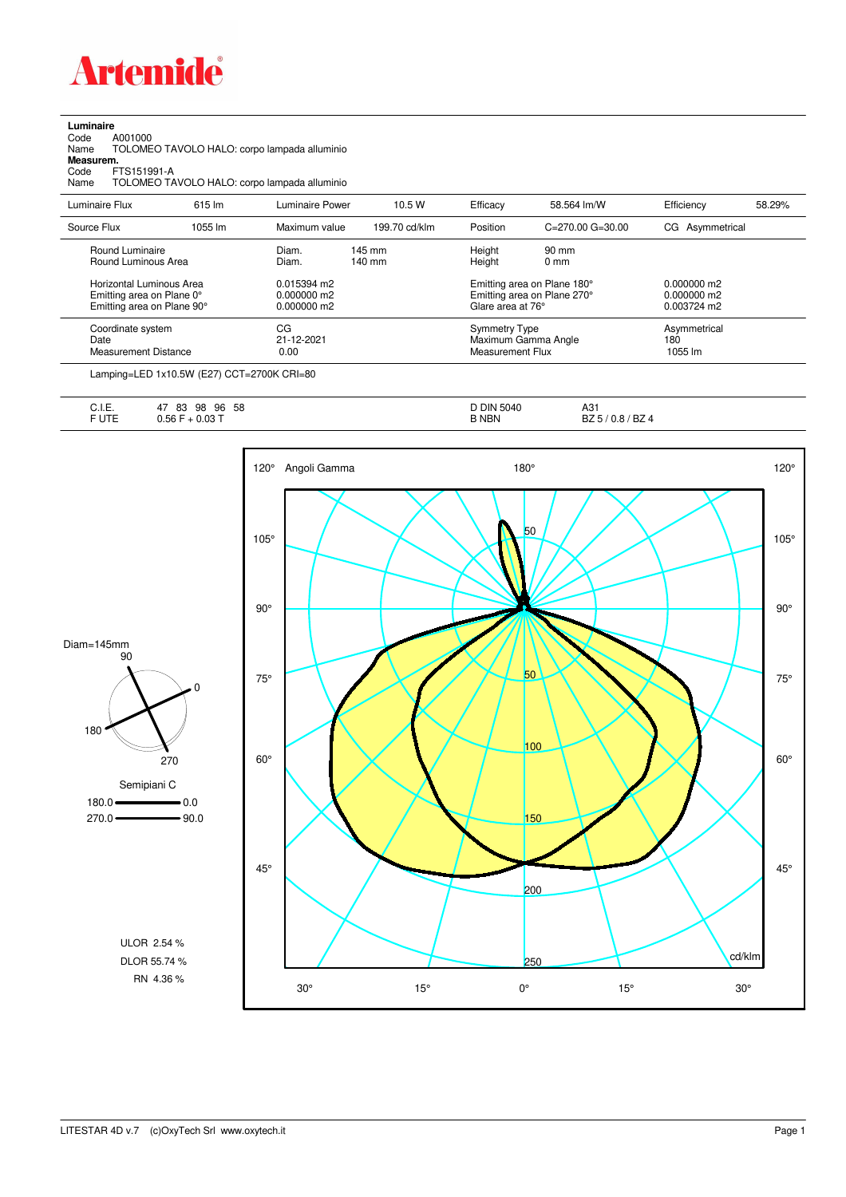

**Luminaire**<br>Code *A*<br>Name 1 Code A001000 Name TOLOMEO TAVOLO HALO: corpo lampada alluminio

**Measurem.**

Code FTS151991-A Name TOLOMEO TAVOLO HALO: corpo lampada alluminio

| Luminaire Flux                                                                      | 615 lm  | Luminaire Power                                 | 10.5 W                     | Efficacy                          | 58.564 lm/W                                                | Efficiency                                    | 58.29% |
|-------------------------------------------------------------------------------------|---------|-------------------------------------------------|----------------------------|-----------------------------------|------------------------------------------------------------|-----------------------------------------------|--------|
| Source Flux                                                                         | 1055 lm | Maximum value                                   | 199.70 cd/klm              | Position                          | $C = 270.00$ $G = 30.00$                                   | CG Asymmetrical                               |        |
| Round Luminaire<br>Round Luminous Area                                              |         | Diam.<br>Diam.                                  | 145 mm<br>$140 \text{ mm}$ | Height<br>Height                  | $90 \text{ mm}$<br>$0 \text{ mm}$                          |                                               |        |
| Horizontal Luminous Area<br>Emitting area on Plane 0°<br>Emitting area on Plane 90° |         | $0.015394$ m2<br>$0.000000$ m2<br>$0.000000$ m2 |                            | Glare area at 76°                 | Emitting area on Plane 180°<br>Emitting area on Plane 270° | $0.000000$ m2<br>$0.000000$ m2<br>0.003724 m2 |        |
| Coordinate system<br>Date<br><b>Measurement Distance</b>                            |         | CG<br>21-12-2021<br>0.00                        |                            | Symmetry Type<br>Measurement Flux | Maximum Gamma Angle                                        | Asymmetrical<br>180<br>1055 lm                |        |

Lamping=LED 1x10.5W (E27) CCT=2700K CRI=80

| .<br>∪. I. ⊏. | 58<br>83<br>96<br>98<br>4 <sub>1</sub> | <b>DIN</b><br>5040 | ៱៱៹<br>AJ.                    |
|---------------|----------------------------------------|--------------------|-------------------------------|
| -----         | 0.03T<br>.56<br>u.ju                   | B NBN              | BZ 4<br>$\Delta$<br>DZ<br>v.o |